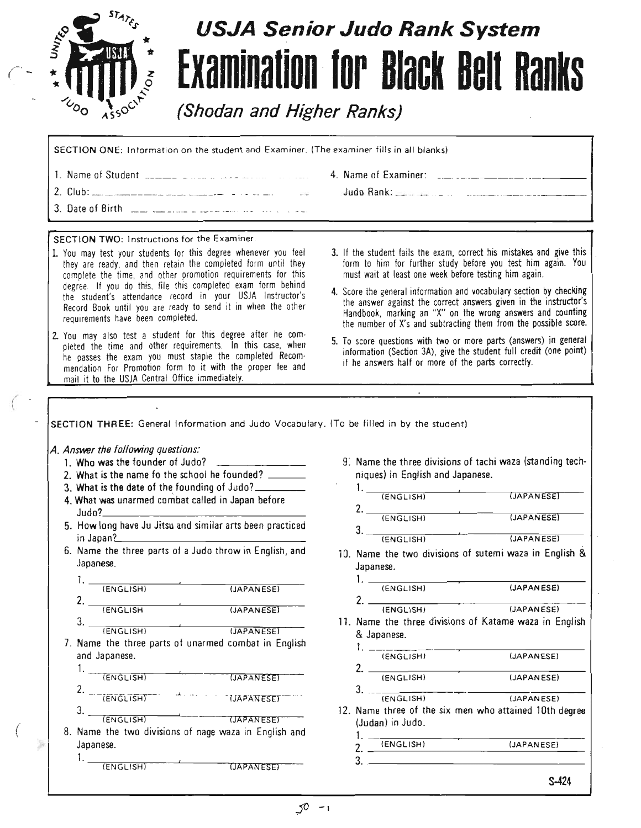

*r-*

(  $\mathfrak{i}$ 

 $\big($ 

# **USJA Senior Judo Rank System Examination for Black Belt Ranks**

**(Shodan and Higher Ranks)**

SECTION ONE: Information on the student and Examiner. (The examiner fills in all blanks) 1. Name of Student .\_ .. .. .\_. 4. Name of Examiner: . \_\_. \_ 2. Club: \_\_. . . \_ Judo Rank: \_\_ 3. Date of Birth ..... .\_\_.... SECTION TWO: Instructions for the Examiner. 1. You may test your students for this degree whenever you feel 3. If the student fails the exam, correct his mistakes and give this they are ready, and then retain the completed form until they form to him for further study before you test him again. You complete the time, and other promotion requirements for this must wait at least one week before testing him again. degree. If you do this, file this completed exam form behind 4. Score the general information and vocabulary section by checking the student's attendance record in your USJA Instructor's the answer against the correct answers given in the instructor's Record Book until you are ready to send it in when the other Handbook, marking an "X" on the wrong answers and counting requirements have been completed. the number of X's and subtracting them from the possible score. 2. You may also test a student for this degree after he com· 5. To score questions with two or more parts (answers) in general pleted the time and other requirements. In this case, when information (Section *3M,* give the student full credit (one point) he passes the exam you must staple the completed Recom· if he answers half or more of the parts correctly. mendation For Promotion form to it with the proper fee and mail it to the USJA Central Office immediately. SECTION THREE: General Information and Judo Vocabulary. (To be filled in by the student) A. Answer the following questions: 9: Name the three divisions of tachi waza (standing tech-1. Who was the founder of Judo? 2. What is the name fo the school he founded? \_ niques) in English and Japanese. 3. What is the date of the founding of Judo? \_  $1.$   $\frac{1}{\sqrt{5}}$ (JAPANESE) 4. What was unarmed combat called in Japan before  $\frac{1 \cdot 1}{2}$  $2.$   $\overline{\phantom{a}(\text{ENGLISH})}$  (JAPANESE) 5. How long have Ju Jitsu and similar arts been practiced 3. \_-:-=-=-:-~:--\_-'- -;-:--:-:::-:-:-=:-:--\_ in Japan? (ENGLISH) (JAPANESE) 6. Name the three parts of a Judo throw in English, and iO. Name the two divisions of sutemi waza in English & Japanese. Japanese. 1. ---?- \_  $1.$   $\overline{\phantom{a}(\text{ENGLISH})}$   $\overline{\phantom{a}(\text{JAPANESE})}$ **2.** (ENGLISH) (JAPANESE)<br>2. <u>(ENGLISH)</u> (JAPANESE) (ENGLISH) (JAPANESE)  $2.$   $\overline{\phantom{a}... \phantom{a}}$  (JAPANESE) (ENGLISHI (JAPANESE) 11. Name the three divisions of Katame waza in English  $3.$   $\overline{\phantom{a}(\text{ENGLISH})}$  (JAPANESE) & Japanese. 7. Name the three parts of unarmed combat in English  $1. -$ (ENGLISH) (JAPANESE) and Japanese. 2. :-\_-,- \_  $1.$   $\overline{\phantom{a}(\overline{\phantom{a}}\overline{\phantom{a}}\overline{\phantom{a}}\overline{\phantom{a}}\overline{\phantom{a}}\overline{\phantom{a}}\overline{\phantom{a}}\overline{\phantom{a}}\overline{\phantom{a}}\overline{\phantom{a}}\overline{\phantom{a}}\overline{\phantom{a}}\overline{\phantom{a}}\overline{\phantom{a}}\overline{\phantom{a}}\overline{\phantom{a}}\overline{\phantom{a}}\overline{\phantom{a}}\overline{\phantom{a}}\overline{\phantom{a}}\overline{\phantom{a}}\overline{\phantom{a}}\overline{\phantom{a$ (ENGLISH) (JAPANESE)  $2. -TENGLISH$ 3.  $\mathbf{J}$ .  $\mathbf{J}$ (ENGLISH) (JAPANESE) **IJAPANESET**  $3.$   $\frac{1}{\sqrt{ENGLISH}}$   $\frac{1}{\sqrt{INGL(1S)}}$ 12. Name three of the six men who attained 10th degree (Judan) in Judo. 8. Name the two divisions of nage waza in English and 1.\_:----:-- ---?- \_ 2. (ENGLISH) (JAPANESE) Japanese. 3. \_  $1.$   $\overline{(\text{ENGLISH})}$   $\overline{(\text{JAPAN ESE})}$ 

S-424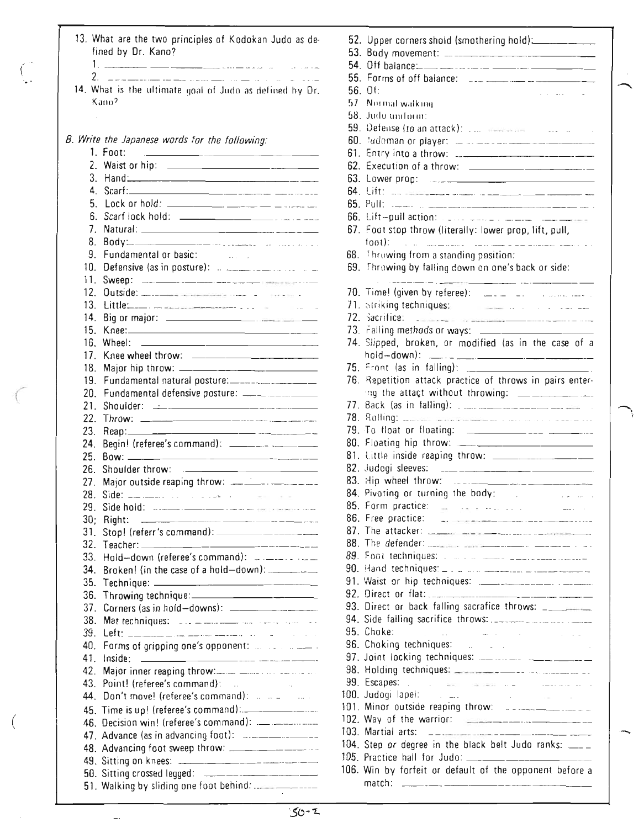|                 | 13. What are the two principles of Kodokan Judo as de-<br>fined by Dr. Kano?<br>الموارد الموارد                                                                                                                                                                                                                                                                           |
|-----------------|---------------------------------------------------------------------------------------------------------------------------------------------------------------------------------------------------------------------------------------------------------------------------------------------------------------------------------------------------------------------------|
|                 | $\sim$ $\sim$ $\sim$                                                                                                                                                                                                                                                                                                                                                      |
|                 | 14. What is the ultimate goal of Judo as defined by Dr.<br>Kano <sup>2</sup>                                                                                                                                                                                                                                                                                              |
|                 | B. Write the Japanese words for the following:                                                                                                                                                                                                                                                                                                                            |
|                 | $1.$ Foot:<br><u> 1980 - Jan Barnett, marror et al. (</u>                                                                                                                                                                                                                                                                                                                 |
|                 |                                                                                                                                                                                                                                                                                                                                                                           |
| 3.              | Hand: Hand and the second state of the second state of the second state of the second state of the second state of the second state of the second state of the second state of the second state of the second state of the sec                                                                                                                                            |
| 4               | $\textsf{Scart:}\n \begin{picture}(25,20) \put(0,0){\vector(1,0){100}} \put(15,0){\vector(1,0){100}} \put(15,0){\vector(1,0){100}} \put(15,0){\vector(1,0){100}} \put(15,0){\vector(1,0){100}} \put(15,0){\vector(1,0){100}} \put(15,0){\vector(1,0){100}} \put(15,0){\vector(1,0){100}} \put(15,0){\vector(1,0){100}} \put(15,0){\vector(1,0){100}} \put(15,0){\vector($ |
| 5.              |                                                                                                                                                                                                                                                                                                                                                                           |
| 6.              |                                                                                                                                                                                                                                                                                                                                                                           |
| 7.              |                                                                                                                                                                                                                                                                                                                                                                           |
| 8.              |                                                                                                                                                                                                                                                                                                                                                                           |
| 9.              | Fundamental or basic:                                                                                                                                                                                                                                                                                                                                                     |
| 10 <sub>1</sub> |                                                                                                                                                                                                                                                                                                                                                                           |
| 11.<br>12.      |                                                                                                                                                                                                                                                                                                                                                                           |
| 13.             |                                                                                                                                                                                                                                                                                                                                                                           |
| 14 <sup>2</sup> |                                                                                                                                                                                                                                                                                                                                                                           |
| 15.             |                                                                                                                                                                                                                                                                                                                                                                           |
| 16.             | Wheel:<br><u> 2000 - Jan Alexander State Barbara (h. 1888).</u>                                                                                                                                                                                                                                                                                                           |
| 17              |                                                                                                                                                                                                                                                                                                                                                                           |
| 18.             |                                                                                                                                                                                                                                                                                                                                                                           |
| 19.             | Fundamental natural posture:-----------------------------                                                                                                                                                                                                                                                                                                                 |
| 20.             |                                                                                                                                                                                                                                                                                                                                                                           |
| 21              |                                                                                                                                                                                                                                                                                                                                                                           |
| 22.             |                                                                                                                                                                                                                                                                                                                                                                           |
| 23.             |                                                                                                                                                                                                                                                                                                                                                                           |
| 24.             |                                                                                                                                                                                                                                                                                                                                                                           |
| 25.             |                                                                                                                                                                                                                                                                                                                                                                           |
| 26.             | Shoulder throw:<br><u> 1989 - Andrea Angel, Amerikaansk politiker (</u>                                                                                                                                                                                                                                                                                                   |
| 27.             |                                                                                                                                                                                                                                                                                                                                                                           |
| 28.             |                                                                                                                                                                                                                                                                                                                                                                           |
| 29.             |                                                                                                                                                                                                                                                                                                                                                                           |
| 30:             | Right:                                                                                                                                                                                                                                                                                                                                                                    |
| 31.             |                                                                                                                                                                                                                                                                                                                                                                           |
| 32.             |                                                                                                                                                                                                                                                                                                                                                                           |
| 33.             | Hold-down (referee's command): ____________                                                                                                                                                                                                                                                                                                                               |
| 34.             | Broken! (in the case of a hold-down): ________                                                                                                                                                                                                                                                                                                                            |
| 35.             |                                                                                                                                                                                                                                                                                                                                                                           |
| 36.             |                                                                                                                                                                                                                                                                                                                                                                           |
| 37.             |                                                                                                                                                                                                                                                                                                                                                                           |
| 38.             | Mat techniques:  _ _ _ _ _ _                                                                                                                                                                                                                                                                                                                                              |
| 39.             |                                                                                                                                                                                                                                                                                                                                                                           |
| 40.             |                                                                                                                                                                                                                                                                                                                                                                           |
| 41              | Inside:                                                                                                                                                                                                                                                                                                                                                                   |
| 42.             |                                                                                                                                                                                                                                                                                                                                                                           |
| 43.<br>44.      | Point! (referee's command):<br>Don't move! (referee's command):                                                                                                                                                                                                                                                                                                           |
|                 | $\sim$ $\sim$ $\sim$                                                                                                                                                                                                                                                                                                                                                      |
| 45.             |                                                                                                                                                                                                                                                                                                                                                                           |
| 46.             |                                                                                                                                                                                                                                                                                                                                                                           |
| 47.             |                                                                                                                                                                                                                                                                                                                                                                           |
|                 |                                                                                                                                                                                                                                                                                                                                                                           |
|                 | 50. Sitting crossed legged: _______________________                                                                                                                                                                                                                                                                                                                       |
|                 |                                                                                                                                                                                                                                                                                                                                                                           |
|                 |                                                                                                                                                                                                                                                                                                                                                                           |

(

 $\overline{\phantom{a}}$ 

 $\Big(\Big)$ 

| 52. | Upper corners shold (smothering hold): __________                                                                                                                                                                                                                                                                                                                                                                                                                                                                                  |
|-----|------------------------------------------------------------------------------------------------------------------------------------------------------------------------------------------------------------------------------------------------------------------------------------------------------------------------------------------------------------------------------------------------------------------------------------------------------------------------------------------------------------------------------------|
| 53. |                                                                                                                                                                                                                                                                                                                                                                                                                                                                                                                                    |
| 54. |                                                                                                                                                                                                                                                                                                                                                                                                                                                                                                                                    |
| 55. |                                                                                                                                                                                                                                                                                                                                                                                                                                                                                                                                    |
| 56. | $\bigcap f$<br>and the state                                                                                                                                                                                                                                                                                                                                                                                                                                                                                                       |
| 57  | Normal walking                                                                                                                                                                                                                                                                                                                                                                                                                                                                                                                     |
| 58. | Judo uniform:                                                                                                                                                                                                                                                                                                                                                                                                                                                                                                                      |
| 59. | Defense (to an attack): <b>Example 10</b> and the contract of                                                                                                                                                                                                                                                                                                                                                                                                                                                                      |
|     | 60. tudoman or player: _ _ _ _ _ _ _ _ _ _ _ _ _ _ _                                                                                                                                                                                                                                                                                                                                                                                                                                                                               |
| 61. |                                                                                                                                                                                                                                                                                                                                                                                                                                                                                                                                    |
| 62. |                                                                                                                                                                                                                                                                                                                                                                                                                                                                                                                                    |
| 63. |                                                                                                                                                                                                                                                                                                                                                                                                                                                                                                                                    |
| 64. |                                                                                                                                                                                                                                                                                                                                                                                                                                                                                                                                    |
|     |                                                                                                                                                                                                                                                                                                                                                                                                                                                                                                                                    |
|     |                                                                                                                                                                                                                                                                                                                                                                                                                                                                                                                                    |
| 67. | Foot stop throw (literally: lower prop, lift, pull,                                                                                                                                                                                                                                                                                                                                                                                                                                                                                |
|     | $f(00t)$ :                                                                                                                                                                                                                                                                                                                                                                                                                                                                                                                         |
|     | 68. Throwing from a standing position:                                                                                                                                                                                                                                                                                                                                                                                                                                                                                             |
| 69. | Throwing by falling down on one's back or side:                                                                                                                                                                                                                                                                                                                                                                                                                                                                                    |
|     |                                                                                                                                                                                                                                                                                                                                                                                                                                                                                                                                    |
|     |                                                                                                                                                                                                                                                                                                                                                                                                                                                                                                                                    |
| 71. | Striking techniques: <b>All According to the Striking</b><br>and a strain when                                                                                                                                                                                                                                                                                                                                                                                                                                                     |
|     |                                                                                                                                                                                                                                                                                                                                                                                                                                                                                                                                    |
|     | 73. Falling methods or ways: ___________________                                                                                                                                                                                                                                                                                                                                                                                                                                                                                   |
| 74. | Slipped, broken, or modified (as in the case of a                                                                                                                                                                                                                                                                                                                                                                                                                                                                                  |
|     |                                                                                                                                                                                                                                                                                                                                                                                                                                                                                                                                    |
|     |                                                                                                                                                                                                                                                                                                                                                                                                                                                                                                                                    |
| 76. | Repetition attack practice of throws in pairs enter-                                                                                                                                                                                                                                                                                                                                                                                                                                                                               |
|     | ing the attact without throwing: _______________                                                                                                                                                                                                                                                                                                                                                                                                                                                                                   |
|     |                                                                                                                                                                                                                                                                                                                                                                                                                                                                                                                                    |
|     |                                                                                                                                                                                                                                                                                                                                                                                                                                                                                                                                    |
|     |                                                                                                                                                                                                                                                                                                                                                                                                                                                                                                                                    |
|     |                                                                                                                                                                                                                                                                                                                                                                                                                                                                                                                                    |
|     |                                                                                                                                                                                                                                                                                                                                                                                                                                                                                                                                    |
|     | 82. Judogi sleeves:                                                                                                                                                                                                                                                                                                                                                                                                                                                                                                                |
|     | 83. Hip wheel throw:                                                                                                                                                                                                                                                                                                                                                                                                                                                                                                               |
|     | 84. Pivoting or turning the body:                                                                                                                                                                                                                                                                                                                                                                                                                                                                                                  |
|     | 85. Form practice: a property of the control                                                                                                                                                                                                                                                                                                                                                                                                                                                                                       |
|     | 86. Free practice:                                                                                                                                                                                                                                                                                                                                                                                                                                                                                                                 |
|     |                                                                                                                                                                                                                                                                                                                                                                                                                                                                                                                                    |
|     |                                                                                                                                                                                                                                                                                                                                                                                                                                                                                                                                    |
|     |                                                                                                                                                                                                                                                                                                                                                                                                                                                                                                                                    |
|     |                                                                                                                                                                                                                                                                                                                                                                                                                                                                                                                                    |
| 91. |                                                                                                                                                                                                                                                                                                                                                                                                                                                                                                                                    |
| 92. |                                                                                                                                                                                                                                                                                                                                                                                                                                                                                                                                    |
| 93. | Direct or back falling sacrafice throws: ________                                                                                                                                                                                                                                                                                                                                                                                                                                                                                  |
| 94. |                                                                                                                                                                                                                                                                                                                                                                                                                                                                                                                                    |
| 95. | Choke:<br>والمتواصل والمستوي والمتواصل<br>and the state of the state                                                                                                                                                                                                                                                                                                                                                                                                                                                               |
| 96. | Choking techniques: 2006                                                                                                                                                                                                                                                                                                                                                                                                                                                                                                           |
| 97. |                                                                                                                                                                                                                                                                                                                                                                                                                                                                                                                                    |
| 98. |                                                                                                                                                                                                                                                                                                                                                                                                                                                                                                                                    |
| 99. | Escapes:                                                                                                                                                                                                                                                                                                                                                                                                                                                                                                                           |
| 00. | Judogi lapel: _______<br>$\sim 10^{-10}$<br>and the state of the state                                                                                                                                                                                                                                                                                                                                                                                                                                                             |
| 01. | Minor outside reaping throw: 22222222222222222                                                                                                                                                                                                                                                                                                                                                                                                                                                                                     |
|     |                                                                                                                                                                                                                                                                                                                                                                                                                                                                                                                                    |
| 03. | Martial arts:<br>$\begin{aligned} \mathcal{L}_{\mathcal{A}} & = \mathcal{L}_{\mathcal{A}} \left( \mathcal{L}_{\mathcal{A}} \right) \mathcal{L}_{\mathcal{A}} \left( \mathcal{L}_{\mathcal{A}} \right) = \mathcal{L}_{\mathcal{A}} \left( \mathcal{L}_{\mathcal{A}} \right) \mathcal{L}_{\mathcal{A}} \left( \mathcal{L}_{\mathcal{A}} \right) = \mathcal{L}_{\mathcal{A}} \left( \mathcal{L}_{\mathcal{A}} \right) \mathcal{L}_{\mathcal{A}} \left( \mathcal{L}_{\mathcal{A}} \right) = \mathcal{L}_{\mathcal{A}} \left( \mathcal$ |
| 04. | Step or degree in the black belt Judo ranks: ____                                                                                                                                                                                                                                                                                                                                                                                                                                                                                  |
|     |                                                                                                                                                                                                                                                                                                                                                                                                                                                                                                                                    |
|     | 06. Win by forfeit or default of the opponent before a                                                                                                                                                                                                                                                                                                                                                                                                                                                                             |
|     | match: _____________                                                                                                                                                                                                                                                                                                                                                                                                                                                                                                               |

--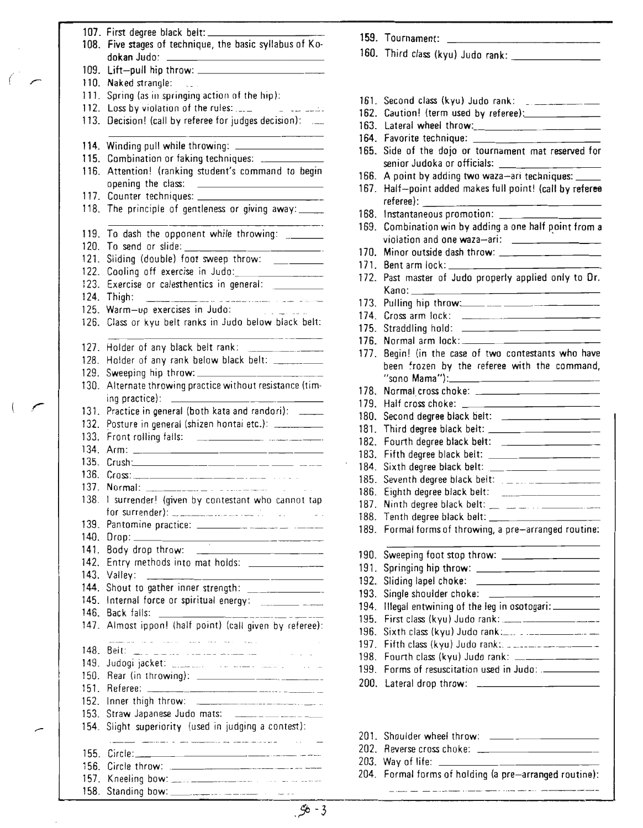|   |              | 108. Five stages of technique, the basic syllabus of Ko-                                                                                                                                                                                                                  |
|---|--------------|---------------------------------------------------------------------------------------------------------------------------------------------------------------------------------------------------------------------------------------------------------------------------|
|   |              |                                                                                                                                                                                                                                                                           |
|   |              |                                                                                                                                                                                                                                                                           |
|   |              | 110. Naked strangle:<br>$\sim 10^{-1}$                                                                                                                                                                                                                                    |
|   |              | 111. Spring (as in springing action of the hip):                                                                                                                                                                                                                          |
|   |              | 113. Decision! (call by referee for judges decision):                                                                                                                                                                                                                     |
|   |              |                                                                                                                                                                                                                                                                           |
|   |              | 114. Winding pull while throwing: ________________                                                                                                                                                                                                                        |
|   |              | 115. Combination or faking techniques: ______________                                                                                                                                                                                                                     |
|   |              | 116. Attention! (ranking student's command to begin<br>opening the class:                                                                                                                                                                                                 |
|   |              | <u> The Communication of the Communication</u>                                                                                                                                                                                                                            |
|   |              | 118. The principle of gentleness or giving away:                                                                                                                                                                                                                          |
|   | 119.         | __________________<br>To dash the opponent while throwing: _______                                                                                                                                                                                                        |
|   |              |                                                                                                                                                                                                                                                                           |
|   |              |                                                                                                                                                                                                                                                                           |
|   |              |                                                                                                                                                                                                                                                                           |
|   |              | 123. Exercise or calesthentics in general: ___________<br>124. Thigh:                                                                                                                                                                                                     |
|   |              | 125. Warm-up exercises in Judo:                                                                                                                                                                                                                                           |
|   | 126.         | Class or kyu belt ranks in Judo below black belt:                                                                                                                                                                                                                         |
|   |              |                                                                                                                                                                                                                                                                           |
|   |              | 128. Holder of any rank below black belt: ________                                                                                                                                                                                                                        |
|   |              |                                                                                                                                                                                                                                                                           |
|   |              | 130. Alternate throwing practice without resistance (tim-                                                                                                                                                                                                                 |
| ( |              | 131. Practice in general (both kata and randori): ____                                                                                                                                                                                                                    |
|   |              | 132. Posture in general (shizen hontai etc.): ________                                                                                                                                                                                                                    |
|   |              |                                                                                                                                                                                                                                                                           |
|   |              |                                                                                                                                                                                                                                                                           |
|   |              |                                                                                                                                                                                                                                                                           |
|   |              |                                                                                                                                                                                                                                                                           |
|   | 138.         | I surrender! (given by contestant who cannot tap                                                                                                                                                                                                                          |
|   |              |                                                                                                                                                                                                                                                                           |
|   | 139.         |                                                                                                                                                                                                                                                                           |
|   | 140.         |                                                                                                                                                                                                                                                                           |
|   | 141.         |                                                                                                                                                                                                                                                                           |
|   | 142.<br>143. |                                                                                                                                                                                                                                                                           |
|   | 144.         | Valley:<br>Shout to gather inner strength: ________________                                                                                                                                                                                                               |
|   | 145.         |                                                                                                                                                                                                                                                                           |
|   | 146.         | Back falls:                                                                                                                                                                                                                                                               |
|   | 147.         | Almost ippon! (half point) (call given by referee):                                                                                                                                                                                                                       |
|   | 148.         | alian kalendar dan berasal di sebagai dan berasa dalam berasa dan berasa dalam berasar dalam berasar dalam ber<br>Sebagai dalam berasar dalam berasa dalam berasa dalam berasa dalam berasa dan berasa dan berasa dalam berasa d<br><u>Beit: ________________________</u> |
|   | 149.         |                                                                                                                                                                                                                                                                           |
|   | 150.         |                                                                                                                                                                                                                                                                           |
|   | 151.         |                                                                                                                                                                                                                                                                           |
|   | 152.<br>153. | Straw Japanese Judo mats: ____________________                                                                                                                                                                                                                            |
|   | 154.         | Slight superiority (used in judging a contest):                                                                                                                                                                                                                           |
|   |              | .<br>In the company of the company of the company of the company of the company of the company of the company of th                                                                                                                                                       |
|   | 155.         |                                                                                                                                                                                                                                                                           |
|   | 156.         |                                                                                                                                                                                                                                                                           |
|   | 157.         |                                                                                                                                                                                                                                                                           |

158. Standing bow:

( .-

|              | 159. Tournament:                                                                                                                                                                                                                                                                                              |
|--------------|---------------------------------------------------------------------------------------------------------------------------------------------------------------------------------------------------------------------------------------------------------------------------------------------------------------|
|              |                                                                                                                                                                                                                                                                                                               |
|              |                                                                                                                                                                                                                                                                                                               |
|              |                                                                                                                                                                                                                                                                                                               |
|              |                                                                                                                                                                                                                                                                                                               |
| 161.         |                                                                                                                                                                                                                                                                                                               |
|              | 162. Caution! (term used by referee): ___________                                                                                                                                                                                                                                                             |
|              |                                                                                                                                                                                                                                                                                                               |
|              |                                                                                                                                                                                                                                                                                                               |
| 165.         | Side of the dojo or tournament mat reserved for                                                                                                                                                                                                                                                               |
|              | senior Judoka or officials:                                                                                                                                                                                                                                                                                   |
| 166.         | A point by adding two waza-ari techniques: ____                                                                                                                                                                                                                                                               |
| 167.         | Half-point added makes full point! (call by referee                                                                                                                                                                                                                                                           |
|              |                                                                                                                                                                                                                                                                                                               |
| 168.         | Instantaneous promotion: _______________                                                                                                                                                                                                                                                                      |
| 169.         | Combination win by adding a one half point from a                                                                                                                                                                                                                                                             |
|              | violation and one waza-ari: _______________                                                                                                                                                                                                                                                                   |
| 170.         |                                                                                                                                                                                                                                                                                                               |
| 171.         | Bent arm lock: _____ ___________                                                                                                                                                                                                                                                                              |
| 172.         | Past master of Judo properly applied only to Dr.                                                                                                                                                                                                                                                              |
|              |                                                                                                                                                                                                                                                                                                               |
| 173.         |                                                                                                                                                                                                                                                                                                               |
| 174          |                                                                                                                                                                                                                                                                                                               |
| 175.         |                                                                                                                                                                                                                                                                                                               |
| 176.         |                                                                                                                                                                                                                                                                                                               |
| 177.         | Begin! (in the case of two contestants who have                                                                                                                                                                                                                                                               |
|              | been frozen by the referee with the command,                                                                                                                                                                                                                                                                  |
|              |                                                                                                                                                                                                                                                                                                               |
| 178.         | Normal cross choke: ________________________                                                                                                                                                                                                                                                                  |
| 179.         | Half cross choke: ___________________________                                                                                                                                                                                                                                                                 |
| 180.         | Second degree black belt: __________________                                                                                                                                                                                                                                                                  |
| 181.         | Third degree black belt: ______ _____________                                                                                                                                                                                                                                                                 |
| 182.         | Fourth degree black belt: _____________________                                                                                                                                                                                                                                                               |
| 183.         | Fifth degree black belt: ____________________                                                                                                                                                                                                                                                                 |
| 184.         |                                                                                                                                                                                                                                                                                                               |
| 185.         | Seventh degree black belt: $\frac{1}{2}$ $\frac{1}{2}$ $\frac{1}{2}$ $\frac{1}{2}$ $\frac{1}{2}$ $\frac{1}{2}$ $\frac{1}{2}$ $\frac{1}{2}$ $\frac{1}{2}$ $\frac{1}{2}$ $\frac{1}{2}$ $\frac{1}{2}$ $\frac{1}{2}$ $\frac{1}{2}$ $\frac{1}{2}$ $\frac{1}{2}$ $\frac{1}{2}$ $\frac{1}{2}$ $\frac{1}{2}$ $\frac{$ |
| 186.         |                                                                                                                                                                                                                                                                                                               |
| 187.         | Ninth degree black belt: __ __ __ __ __ ______________                                                                                                                                                                                                                                                        |
| 188.         | Tenth degree black belt: ______________________                                                                                                                                                                                                                                                               |
| 189.         | Formal forms of throwing, a pre-arranged routine:                                                                                                                                                                                                                                                             |
|              |                                                                                                                                                                                                                                                                                                               |
| 190.         | the control of the control of the control of<br>Sweeping foot stop throw: __________________                                                                                                                                                                                                                  |
| 191.         |                                                                                                                                                                                                                                                                                                               |
| 192.         | Sliding lapel choke: __________________________                                                                                                                                                                                                                                                               |
| 193.         | Single shoulder choke: ______________________                                                                                                                                                                                                                                                                 |
| 194.         | Illegal entwining of the leg in osotogari:                                                                                                                                                                                                                                                                    |
| 195.         |                                                                                                                                                                                                                                                                                                               |
| 196.         |                                                                                                                                                                                                                                                                                                               |
|              | Fifth class (kyu) Judo rank: 22222222222222222                                                                                                                                                                                                                                                                |
| 197.<br>198. |                                                                                                                                                                                                                                                                                                               |
| 199.         | Fourth class (kyu) Judo rank: _______________                                                                                                                                                                                                                                                                 |
|              |                                                                                                                                                                                                                                                                                                               |
| 200.         |                                                                                                                                                                                                                                                                                                               |
|              |                                                                                                                                                                                                                                                                                                               |
| 201.         |                                                                                                                                                                                                                                                                                                               |
| 202.         |                                                                                                                                                                                                                                                                                                               |
| 203.         |                                                                                                                                                                                                                                                                                                               |
|              | 204. Formal forms of holding (a pre-arranged routine):                                                                                                                                                                                                                                                        |
|              |                                                                                                                                                                                                                                                                                                               |

 $56 - 3$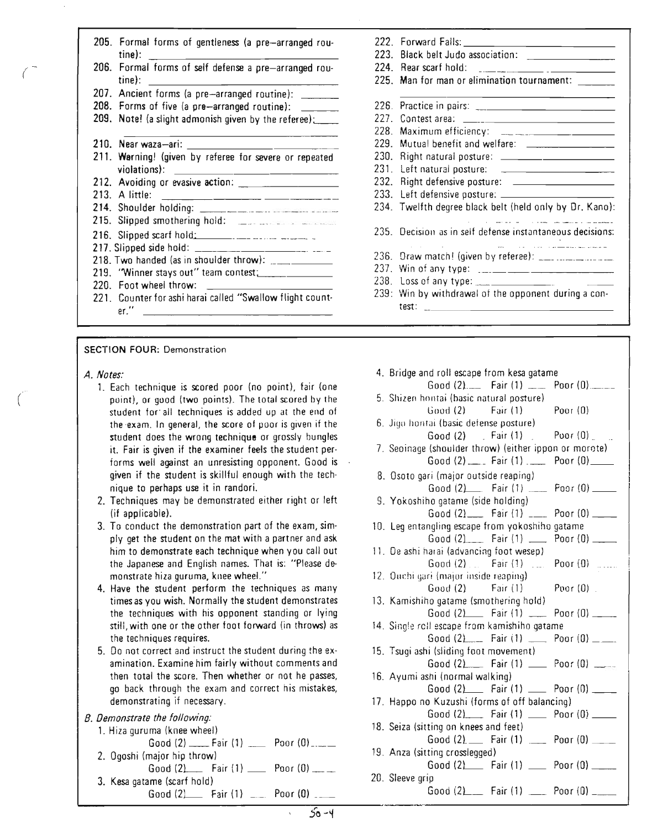| tine): __________________ |  |  | 205. Formal forms of gentleness (a pre-arranged rou-  |  |
|---------------------------|--|--|-------------------------------------------------------|--|
| $time$ :                  |  |  | 206. Formal forms of self defense a pre-arranged rou- |  |
|                           |  |  | 207. Ancient forms (a pre-arranged routine):          |  |

- 208. Forms of five (a pre-arranged routine):
- 209. Note! (a slight admonish given by the referee):
- 210. Near waza-ari: \_

 $\mathcal{L}$ (

 $\overline{(\ }$ 

- 211. Warning! (given by referee for severe or repeated violations):
- 212. Avoiding or evasive action: \_
- 213. A little:
- 214. Shoulder holding: . 215. Slipped smothering hold: ...\_
- 
- 216. Slipped scarf hold' .. .
- 217. Slipped side hold: \_
- 218. Two handed (as in shoulder throw):
- 219. "Winner stays out" team contest~ \_
- 220. Foot wheel throw:
- 221. Counter for ashi harai called "Swallow flight count· er. "

#### SECTION FOUR: Demonstration

- A. *Nates:*
	- 1. Each technique is scored poor (no point), fair (one point), or good (two points). The total scored by the student for' all techniques is added up at the end of the exam. In general, the score of poor is given if the student does the wrong technique or grossly bungles it. Fair is given if the examiner feels the student performs well against an unresisting opponent. Good is given if the student is skillful enough with the technique to perhaps use it in randori.
	- 2. Techniques may be demonstrated either right or left (if applicable).
	- 3. To conduct the demonstration part of the exam, simply get the student on the mat with a partner and ask him to demonstrate each technique when you call out the Japanese and English names. That is: "Please demonstrate hiza guruma, knee wheel."
	- 4. Have the student perform the techniques as many times as you wish. Normally the student demonstrates the techniques with his opponent standing or lying still, with one or the other foot forward (in throws) as the techniques requires.
	- 5. Do not correct and instruct the student during the examination. Examine him fairly without comments and then total the score. Then whether or not he passes, go back through the exam and correct his mistakes, demonstrating if necessary.

### *8. Demonstrate the fallowing:*

- 1. Hiza guruma (knee wheel)
- Good  $(2)$  \_\_\_\_\_ Fair  $(1)$  \_\_\_\_\_ Poor  $(0)$  \_\_\_\_ 2. Ogoshi (major hip throw) Good  $(2)$  Fair $(1)$  Poor  $(0)$  \_\_\_
- 3. Kesa gatame (scarf hold) Good  $(2)$  Fair  $(1)$   $\ldots$  Poor  $(0)$   $\ldots$
- 222. Forward Falls: 223. Black belt Judo association: 224. Rear scarf hold: 225. Man for man or elimination tournament: \_\_\_\_\_\_ 226. Practice in pairs: \_ 227. Contest area: 228. Maximum efficiency: 229. Mutual benefit and welfare: 230. Right natural posture: 231. Left natural posture: 232. Right defensive posture: 233. Left defensive posture: \_ 234. Twelfth degree black belt (held only by Dr. Kano): <u>.</u><br>1980 - Andrea Maria II, markazi eta Antonio eta Antonio eta Antonio eta Antonio eta Antonio eta Antonio eta A 235. Decision as in self defense instantaneous decisions: المستقبل المسافر المستقبل المناوب المناوب المستقبل المستقبل المستقبل المستقبل المستقبل المستقبل المستقبل المستق 236. Draw match! (given by referee):  $\frac{1}{2}$  ...  $\frac{1}{2}$  ...  $\frac{1}{2}$  ...  $\frac{1}{2}$  ... 237. Win of any type:\_ 238. Loss of any type: 239: Win by withdrawal of the opponent during a can· test: <u> 1990 - Johann Barbara, martxa eta politikar</u>
- 4. Bridge and roll escape from kesa gatame Good  $(2)$  - Fair  $(1)$  - Poor  $(0)$  -5. Shizen hontaj (hasic natural posture) Good  $(2)$  Fair  $(1)$  Poor  $(0)$ 6. Jigo hontai (basic defense posture) Good (2) Fair (1) Poor (0) 7. Seoinage (shoulder throw) (either ippon or morate) Good  $(2)$  \_\_\_\_ Fair  $(1)$  \_\_\_\_ Poor  $(0)$  \_\_\_\_ 8. Osoto gari (major outside reaping) Good  $(2)$  Fair  $(1)$  Poor  $(0)$ S. Yokoshiho gatame (side holding) Good  $(2)$  Fair  $(1)$  \_\_\_ Poor  $(0)$  \_\_\_ 10. Leg entangling escape from yokoshiho gatame Good  $(2)$  Fair  $(1)$  \_\_\_\_\_ Poor  $(0)$  \_\_\_\_\_ 11. De ashi harai (advancing foot wesep) Good  $(2)$  . Fair  $(1)$  . Poor  $(0)$  ..... 12. Ouchi gari (major inside reaping)  $Good (2)$  Fair  $(1)$  Poor  $(0)$ 13. Kamishiho gatame (smothering hold) Good  $(2)$  Fair  $(1)$  \_\_ Poor  $(0)$  \_\_ 14. Single reil escape from kamishiho gatame Good  $(2)$  Fair  $(1)$  Poor  $(0)$  \_\_\_ 15. Tsugi ashi (sliding foot movement) Good  $(2)$  Fair  $(1)$  \_\_ Poor  $(0)$  \_\_ 16. Ayumi ashi (normal walking) Good  $(2)$  Fair  $(1)$  \_\_ Poor  $(0)$  \_\_\_ 17. Happo no Kuzushi (forms of off balancing) Good (2) Fair (1) \_\_ Poor (0) \_\_ 18. Seiza (sitting on knees and feet) Good  $(2)$  Fair  $(1)$  ... Poor  $(0)$  ... 19. Anza (sitting crosslegged) Good  $(2)$  Fair  $(1)$  Poor  $(0)$  \_\_\_ 20. Sleeve grip Good  $(2)$  Fair  $(1)$  \_\_\_ Poor  $(0)$  \_\_\_\_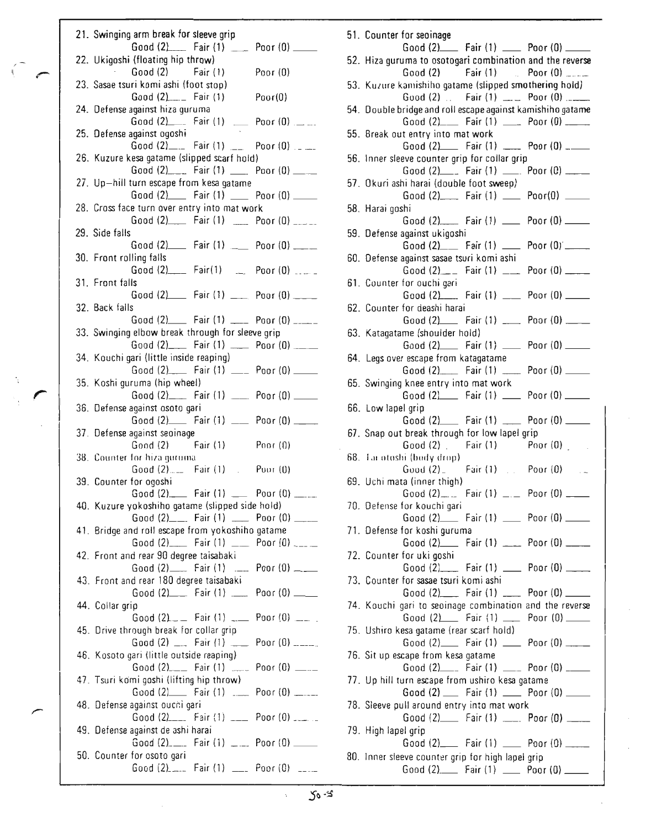|  | 21. Swinging arm break for sleeve grip                                                       |                 |
|--|----------------------------------------------------------------------------------------------|-----------------|
|  | Good $(2)$ Fair $(1)$ Roor $(0)$ ___                                                         |                 |
|  | 22. Ukigoshi (floating hip throw)                                                            |                 |
|  | $Good (2)$ $Fair (1)$                                                                        | Poor (0)        |
|  | 23. Sasae tsuri komi ashi (foot stop)                                                        |                 |
|  | Good (2) ___ Fair (1) Poor(0)                                                                |                 |
|  | 24. Defense against hiza guruma                                                              |                 |
|  | Good $(2)$ Fair $(1)$ Poor $(0)$<br>25. Defense against ogoshi                               |                 |
|  | Good $(2)$ <sub>___</sub> Fair $(1)$ __ Poor $(0)$ __                                        |                 |
|  | 26. Kuzure kesa gatame (slipped scarf hold)                                                  |                 |
|  | Good (2)____ Fair (1) _____ Poor (0) ____                                                    |                 |
|  | 27. Up-hill turn escape from kesa gatame                                                     |                 |
|  | Good (2) Fair (1) __ Poor (0) __                                                             |                 |
|  | 28. Cross face turn over entry into mat work                                                 |                 |
|  | Good (2) Fair (1) _____ Poor (0) _____<br>29. Side falls                                     |                 |
|  | Good (2) Fair (1) __ Poor (0) ___                                                            |                 |
|  | 30. Front rolling falls                                                                      |                 |
|  | Good $(2)$ Fair $(1)$ Poor $(0)$                                                             |                 |
|  | 31. Front falls                                                                              |                 |
|  | Good (2) Fair (1) __ Poor (0) ___                                                            |                 |
|  | 32. Back falls                                                                               |                 |
|  | Good (2) Fair (1) ___ Poor (0) ____                                                          |                 |
|  | 33. Swinging elbow break through for sleeve grip                                             |                 |
|  | Good (2)______ Fair (1) ______ Poor (0) _____                                                |                 |
|  | 34. Kouchi gari (little inside reaping)                                                      |                 |
|  | Good (2)______ Fair (1) _____ Poor (0) ______                                                |                 |
|  | 35. Koshi guruma (hip wheel)<br>Good $(2)$ Fair $(1)$ __ Poor $(0)$ __                       |                 |
|  | 36. Defense against osoto gari                                                               |                 |
|  | Good (2) Fair (1) __ Poor (0) __                                                             |                 |
|  | 37. Defense against seoinage                                                                 |                 |
|  | Good (2) Fair (1) Poor (0)                                                                   |                 |
|  | 38. Counter for hiza guruma.                                                                 |                 |
|  |                                                                                              |                 |
|  | 39. Counter for ogoshi                                                                       |                 |
|  | Good $(2)$ Fair $(1)$ __ Poor $(0)$ ____                                                     |                 |
|  | 40. Kuzure yokoshiho gatame (slipped side hold)                                              |                 |
|  | Good (2)____ Fair (1) ____ Poor (0) ____<br>41. Bridge and roll escape from yokoshiho gatame |                 |
|  | Good (2) Fair (1) __ Poor (0) ___                                                            |                 |
|  | 42. Front and rear 90 degree taisabaki                                                       |                 |
|  | Good (2)______ Fair (1) _____ Poor (0) _____                                                 |                 |
|  | 43. Front and rear 180 degree taisabaki                                                      |                 |
|  | Good (2)___ Fair (1) ____ Poor (0) ____                                                      |                 |
|  | 44. Collar grip                                                                              |                 |
|  | Good $(2)$ = Fair $(1)$ = Poor $(0)$ = .                                                     |                 |
|  | 45. Drive through break for collar grip                                                      |                 |
|  | Good (2) ___ Fair (1) ___ Poor (0) _____                                                     |                 |
|  | 46. Kosoto gari (little outside reaping)                                                     |                 |
|  | Good $(2)$ Fair $(1)$ ___                                                                    | Poor $(0)$ ____ |
|  | 47. Tsuri komi goshi (lifting hip throw).                                                    |                 |
|  | Good (2) Fair (1) _____ Poor (0) _____                                                       |                 |
|  | 48. Defense against ouchi gari<br>Good (2)____ Fair (1) ____ Poor (0) _____                  |                 |
|  | 49. Defense against de ashi harai                                                            |                 |
|  | Good $(2)$ ____ Fair $(1)$ ____ Poor $(0)$ ____                                              |                 |
|  | 50. Counter for osoto gari                                                                   |                 |
|  | Good $(2)$ <sub>----</sub> Fair $(1)$ --- Poor $(0)$ ----                                    |                 |
|  |                                                                                              |                 |

I" *r*

 $\sqrt{ }$ 

| 51. Counter for seoinage                                                                                  |
|-----------------------------------------------------------------------------------------------------------|
| Good (2)_______ Fair (1) ______ Poor (0) ______                                                           |
| 52. Hiza guruma to osotogari combination and the reverse<br>Good (2) Fair (1) Poor (0) ____               |
| 53. Kuzure kamishiho gatame (slipped smothering hold)                                                     |
| Good (2) Fair (1) ___ Poor (0) ___                                                                        |
| 54. Double bridge and roll escape against kamishiho gatame<br>Good (2)_____ Fair (1) _____ Poor (0) _____ |
| 55. Break out entry into mat work                                                                         |
| Good (2) Fair (1) ___ Poor (0) ___                                                                        |
| 56. Inner sleeve counter grip for collar grip<br>Good (2)_____ Fair (1) ______ Poor (0) _____             |
| 57. Okuri ashi harai (double foot sweep)                                                                  |
| Good (2)_____ Fair (1) _____ Poor(0) _____                                                                |
| 58. Harai goshi<br>Good $(2)$ Fair $(1)$ __ Poor $(0)$ __                                                 |
| 59. Defense against ukigoshi                                                                              |
| Good $(2)$ Fair $(1)$ __ Poor $(0)$ ___                                                                   |
| 60. Defense against sasae tsuri komi ashi                                                                 |
| Good (2) $\qquad$ Fair (1) $\qquad$ Poor (0) $\qquad$<br>61. Counter for ouchi gari                       |
| Good (2) Fair (1) __ Poor (0) __                                                                          |
| 62. Counter for deashi harai                                                                              |
| Good (2) Fair (1) ____ Poor (0) ___                                                                       |
| 63. Katagatame (shoulder hold)<br>Good (2) Fair (1) __ Poor (0) ___                                       |
| 64. Legs over escape from katagatame                                                                      |
| Good (2)______ Fair (1) ______ Poor (0) _____                                                             |
| 65. Swinging knee entry into mat work<br>Good (2) Fair (1) __ Poor (0) ___                                |
| 66. Low lapel grip                                                                                        |
| Good $(2)$ Fair $(1)$ ___ Poor $(0)$ ___                                                                  |
| 67. Snap out break through for low lapel grip<br>$Good (2)$ Fair $(1)$ Poor $(0)$                         |
| 68. Tarotoshi (body drop)                                                                                 |
| Good $(2)$ Fair $(1)$ Poor $(0)$<br>$\sim$ $-$                                                            |
| 69. Uchi mata (inner thigh)<br>Good $(2)$ <sub>---</sub> Fair $(1)$ <sub>---</sub> Poor $(0)$ ---         |
| 70. Defense for kouchi gari                                                                               |
| Good (2) Fair (1) __ Poor (0) __                                                                          |
| 71. Defense for koshi guruma<br>Good (2)______ Fair (1) ______ Poor (0) _____                             |
| 72. Counter for uki goshi                                                                                 |
| Good (2) Fair (1) __ Poor (0) ___                                                                         |
| 73. Counter for sasae tsuri komi ashi                                                                     |
| Good $(2)$ Fair $(1)$ ____ Poor $(0)$ ____<br>74. Kouchi gari to seoinage combination and the reverse     |
| Good (2) Fair (1) __ Poor (0) __                                                                          |
| 75. Ushiro kesa gatame (rear scarf hold)                                                                  |
| Good (2)_______ Fair (1) _______ Poor (0) ______<br>76. Sit up escape from kesa gatame                    |
| Good (2)_____ Fair (1) _____ Poor (0) _____                                                               |
| 77. Up hill turn escape from ushiro kesa gatame                                                           |
| Good (2) __ Fair (1) __ Poor (0) ___<br>78. Sleeve pull around entry into mat work                        |
| Good $(2)$ Fair $(1)$ ___ Poor $(0)$ ___                                                                  |
| 79. High lapel grip                                                                                       |
| Good (2)______ Fair (1) ______ Poor (0) _____                                                             |
| 80. Inner sleeve counter grip for high lapel grip                                                         |
| Good $(2)$ Fair $(1)$ __ Poor $(0)$ __                                                                    |

 $\chi$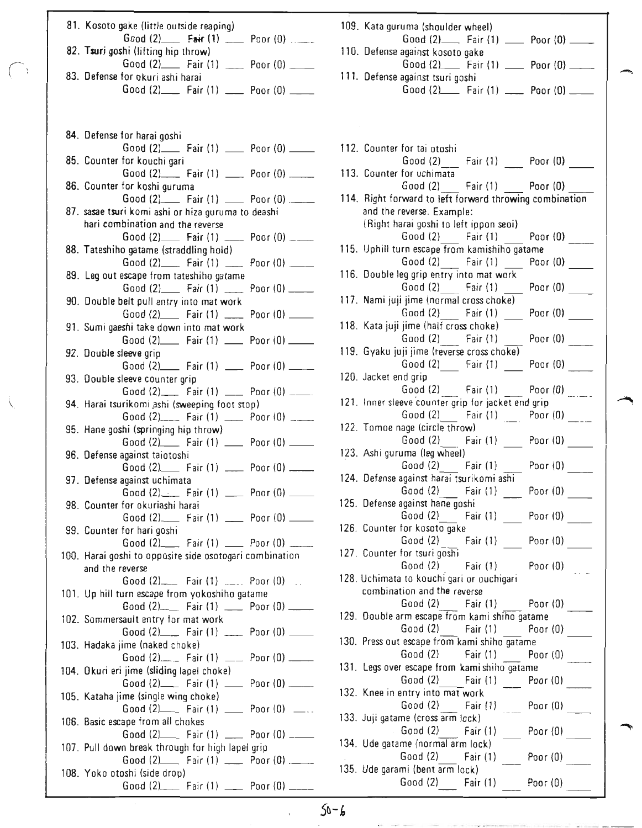| 81. Kosoto gake (little outside reaping).                                                  |  |
|--------------------------------------------------------------------------------------------|--|
| Good $(2)$ Fair $(1)$ __ Poor $(0)$                                                        |  |
| 82. Tsuri goshi (lifting hip throw)<br>Good (2) Fair (1) __ Poor (0) __                    |  |
| 83. Defense for okuri ashi harai                                                           |  |
| Good (2)______ Fair (1) ______ Poor (0) _____                                              |  |
|                                                                                            |  |
|                                                                                            |  |
| 84. Defense for harai goshi                                                                |  |
| Good (2)______ Fair (1) ______ Poor (0) ______                                             |  |
| 85. Counter for kouchi gari                                                                |  |
| Good (2)____ Fair (1) ____ Poor (0) _____<br>86. Counter for koshi guruma                  |  |
| Good (2)______ Fair (1) ______ Poor (0) _____                                              |  |
| 87. sasae tsuri komi ashi or hiza guruma to deashi                                         |  |
| hari combination and the reverse                                                           |  |
| Good (2)_______ Fair (1) ______ Poor (0) _____<br>88. Tateshiho gatame (straddling hold)   |  |
| Good $(2)$ Fair $(1)$ ___ Poor $(0)$ ___                                                   |  |
| 89. Leg out escape from tateshiho gatame                                                   |  |
| Good $(2)$ Fair $(1)$ Poor $(0)$ ___                                                       |  |
| 90. Double belt pull entry into mat work<br>Good (2)_____ Fair (1) _____ Poor (0) _____    |  |
| 91. Sumi gaeshi take down into mat work                                                    |  |
| Good (2)______ Fair (1) ______ Poor (0) ______                                             |  |
| 92. Double sleeve grip                                                                     |  |
| Good (2) Fair (1) __ Poor (0) __<br>93. Double sleeve counter grip                         |  |
| Good (2)_____ Fair (1) _____ Poor (0) _____                                                |  |
| 94. Harai tsurikomi ashi (sweeping foot stop)                                              |  |
| Good (2)____ Fair (1) ____ Poor (0) ___                                                    |  |
| 95. Hane goshi (springing hip throw)<br>Good (2)______ Fair (1) ______ Poor (0) _____      |  |
| 96. Defense against taiotoshi                                                              |  |
| Good (2)_______ Fair (1) ______ Poor (0) ______                                            |  |
| 97. Defense against uchimata                                                               |  |
| Good (2) _____ Fair (1) _____ Poor (0) _____<br>98. Counter for okuriashi harai            |  |
| Good (2)_______ Fair (1) ______ Poor (0) ______                                            |  |
| 99. Counter for hari goshi                                                                 |  |
| Good (2)______ Fair (1) ______ Poor (0) ______                                             |  |
| 100. Harai goshi to opposite side osotogari combination<br>and the reverse                 |  |
| Good $(2)$ Fair $(1)$ $\ldots$ Poor $(0)$ $\ldots$                                         |  |
| 101. Up hill turn escape from yokoshiho gatame                                             |  |
| Good (2) Fair (1) __ Poor (0) __                                                           |  |
| 102. Sommersault entry for mat work<br>Good (2)_____ Fair (1) _____ Poor (0) _____         |  |
| 103. Hadaka jime (naked choke)                                                             |  |
| Good (2)____ Fair (1) ___ Poor (0) ___                                                     |  |
| 104. Okuri eri jime (sliding lapel choke)                                                  |  |
| Good (2)____ Fair (1) ____ Poor (0) _____<br>105. Kataha jime (single wing choke)          |  |
| Good $(2)$ Fair $(1)$ __ Poor $(0)$ __.                                                    |  |
| 106. Basic escape from all chokes                                                          |  |
| Good (2) Fair (1) __ Poor (0) __                                                           |  |
| 107. Pull down break through for high lapel grip<br>Good (2) Fair (1) _____ Poor (0) .____ |  |
| 108. Yoko otoshi (side drop)                                                               |  |
| Good $(2)$ Fair $(1)$ __ Poor $(0)$ ___                                                    |  |

 $\bigcap$ 

| 109. Kata guruma (shoulder wheel)                                                           |
|---------------------------------------------------------------------------------------------|
| Good (2) _____ Fair (1) _____ Poor (0) _____<br>110. Defense against kosoto gake            |
| Good (2) Fair (1) __ Poor (0) ___                                                           |
| 111. Defense against tsuri goshi<br>Good $(2)$ Fair $(1)$ ___ Poor $(0)$ ___                |
|                                                                                             |
|                                                                                             |
|                                                                                             |
| 112. Counter for tai otoshi                                                                 |
| Good (2) ___ Fair (1) ____ Poor (0)                                                         |
| 113. Counter for uchimata                                                                   |
| Good (2) Fair (1) Poor (0)<br>114. Right forward to left forward throwing combination       |
| and the reverse. Example:                                                                   |
| (Right harai goshi to left ippon seoi)                                                      |
| Good (2) Fair (1) Poor (0)                                                                  |
| 115. Uphill turn escape from kamishiho gatame                                               |
| Good (2) Fair (1) Poor (0)                                                                  |
| 116. Double leg grip entry into mat work                                                    |
| Good (2) Fair (1) Poor (0)<br>117. Nami juji jime (normal cross choke) -                    |
| Good (2) Fair (1) Poor (0)                                                                  |
| 118. Kata juji jime (half cross choke) -                                                    |
| Good (2) _ Fair (1) _ Poor (0) ____                                                         |
| 119. Gyaku juji jime (reverse cross choke)                                                  |
| Good (2) Fair (1) Poor (0)                                                                  |
| 120. Jacket end grip                                                                        |
| Good (2) _____ Fair (1) _____ Poor (0) _____                                                |
| 121. Inner sleeve counter grip for jacket end grip<br>Good (2) Fair (1) Poor (0)            |
| 122. Tomoe nage (circle throw)                                                              |
| Good (2) Fair (1) Poor (0)                                                                  |
| 123. Ashi guruma (leg wheel)                                                                |
| $\frac{3}{2}$ Good (2) Fair (1) Poor (0) _____<br>124. Defense against harai tsurikomi ashi |
|                                                                                             |
| Poor (0)<br>Good (2) Fair (1)                                                               |
| 125. Defense against hane goshi<br>Good (2)<br>Fair (1)<br>Poor (0)                         |
| 126. Counter for kosoto gake                                                                |
| Poor $(0)$<br>Good (2)<br>Fair (1)                                                          |
| 127. Counter for tsuri goshi                                                                |
| Good $(2)$ Fair $(1)$<br>Poor $(0)$                                                         |
| 128. Uchimata to kouchi gari or ouchigari                                                   |
| combination and the reverse                                                                 |
| Poor (0)<br>Good (2)<br>Fair $(1)$<br>129. Double arm escape from kami shiho gatame         |
| Good (2)<br>Fair (1)<br>Poor (0)                                                            |
| 130. Press out escape from kami shiho gatame                                                |
| Good (2)<br>Fair (1)<br>Poor $(0)$                                                          |
| 131. Legs over escape from kami shiho gatame                                                |
| Good (2)<br>Fair (1)<br>Poor $(0)$                                                          |
| 132. Knee in entry into mat work                                                            |
| Good $(2)$<br>Fair $(1)$<br>Poor (0)                                                        |
| 133. Juji gatame (cross arm lock)                                                           |
| Good (2)<br>Fair (1)<br>Poor $(0)$                                                          |
| 134. Ude gatame (normal arm lock)<br>Good (2)<br>Fair (1) Poor (0)                          |
| 135. Ude garami (bent arm lock)                                                             |
| Good $(2)$ Fair $(1)$<br>Poor $(0)$                                                         |
|                                                                                             |

 $\hat{\mathbf{v}}$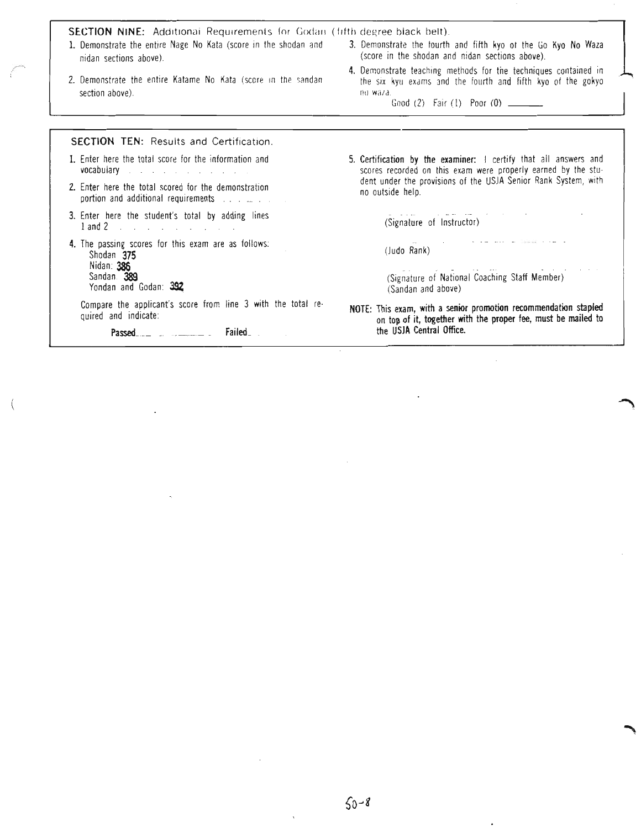SECTION NINE: Additional Requirements for Godan (fifth degree black belt) 1. Demonstrate the entire Nage No Kata (score in the shodan and 3. Demonstrate the fourth and fifth kyo ot the Go Kyo No Waza (score in the shodan and nidan sections above) nidan sections above). 4. Demonstrate teaching methods for the techniques contained in 2. Demonstrate the entire Katame No Kata (score in the sandan the six kyu exams and the fourth and fifth kyo of the gokyo section above). no waza. Good (2) Fair (1) Poor (0) SECTION TEN: Results and Certification. 1. Enter here the total score for the information and 5. Certification by the examiner: I certify that all answers and vocabulary scores recorded on this exam were properly earned by the stu· and a series of the contract of dent under the provisions of the USJA Senior Rank System, with 2. Enter here the total scored for the demonstration no outside help. portion and additional requirements 3. Enter here the student's total by adding lines (Signature of Instructor) 1and 2 4. The passing scores for this exam are as follows: (Judo Rank) Shodan 375 Nidan: 386 Sandan 389 (Signature of National Coaching Staff Member) Yondan and Godan: 392 (Sandan and above) Compare the applicant's score from line 3 with the total re-NOTE: This exam, with a senior promotion recommendation stapled quired and indicate: on top of it, together with the proper fee, must be mailed to the USJA Central Office.Passed\_\_\_ \_ \_ \_ \_ \_\_\_\_ Failed\_ \_

r--.